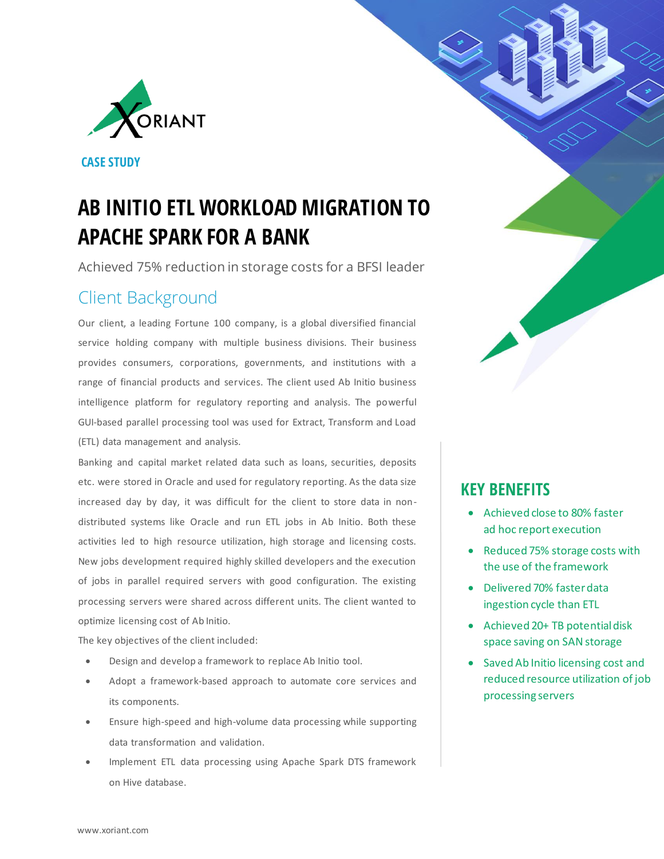

**CASE STUDY**

# **AB INITIO ETL WORKLOAD MIGRATION TO APACHE SPARK FOR A BANK**

Achieved 75% reduction in storage costs for a BFSI leader

## Client Background

Our client, a leading Fortune 100 company, is a global diversified financial service holding company with multiple business divisions. Their business provides consumers, corporations, governments, and institutions with a range of financial products and services. The client used Ab Initio business intelligence platform for regulatory reporting and analysis. The powerful GUI-based parallel processing tool was used for Extract, Transform and Load (ETL) data management and analysis.

Banking and capital market related data such as loans, securities, deposits etc. were stored in Oracle and used for regulatory reporting. As the data size increased day by day, it was difficult for the client to store data in nondistributed systems like Oracle and run ETL jobs in Ab Initio. Both these activities led to high resource utilization, high storage and licensing costs. New jobs development required highly skilled developers and the execution of jobs in parallel required servers with good configuration. The existing processing servers were shared across different units. The client wanted to optimize licensing cost of Ab Initio.

The key objectives of the client included:

- Design and develop a framework to replace Ab Initio tool.
- Adopt a framework-based approach to automate core services and its components.
- Ensure high-speed and high-volume data processing while supporting data transformation and validation.
- Implement ETL data processing using Apache Spark DTS framework on Hive database.

### **KEY BENEFITS**

- Achieved close to 80% faster ad hoc report execution
- Reduced 75% storage costs with the use of the framework
- Delivered 70% faster data ingestion cycle than ETL
- Achieved 20+ TB potential disk space saving on SAN storage
- Saved Ab Initio licensing cost and reduced resource utilization of job processing servers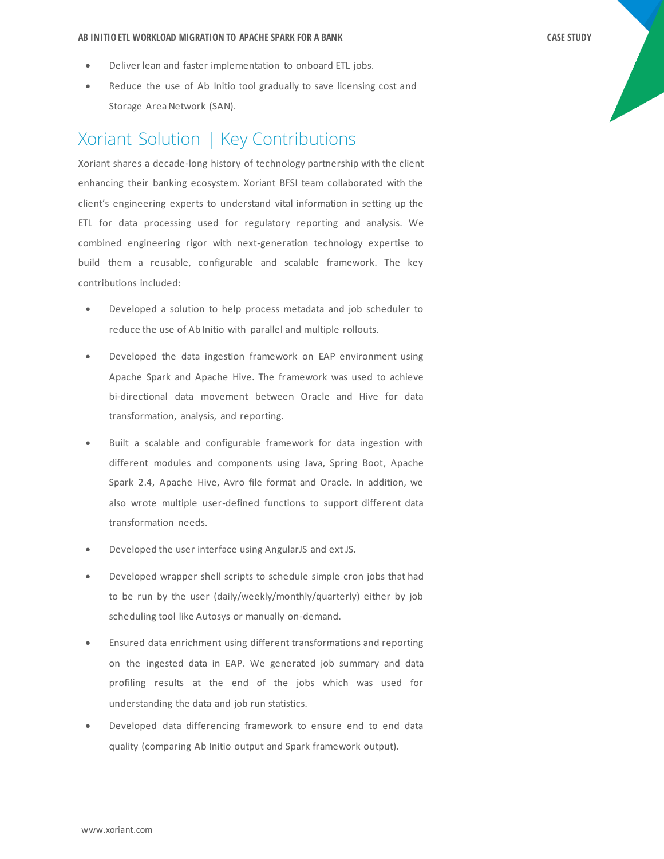- Deliver lean and faster implementation to onboard ETL jobs.
- Reduce the use of Ab Initio tool gradually to save licensing cost and Storage Area Network (SAN).

#### Xoriant Solution | Key Contributions

Xoriant shares a decade-long history of technology partnership with the client enhancing their banking ecosystem. Xoriant BFSI team collaborated with the client's engineering experts to understand vital information in setting up the ETL for data processing used for regulatory reporting and analysis. We combined engineering rigor with next-generation technology expertise to build them a reusable, configurable and scalable framework. The key contributions included:

- Developed a solution to help process metadata and job scheduler to reduce the use of Ab Initio with parallel and multiple rollouts.
- Developed the data ingestion framework on EAP environment using Apache Spark and Apache Hive. The framework was used to achieve bi-directional data movement between Oracle and Hive for data transformation, analysis, and reporting.
- Built a scalable and configurable framework for data ingestion with different modules and components using Java, Spring Boot, Apache Spark 2.4, Apache Hive, Avro file format and Oracle. In addition, we also wrote multiple user-defined functions to support different data transformation needs.
- Developed the user interface using AngularJS and ext JS.
- Developed wrapper shell scripts to schedule simple cron jobs that had to be run by the user (daily/weekly/monthly/quarterly) either by job scheduling tool like Autosys or manually on-demand.
- Ensured data enrichment using different transformations and reporting on the ingested data in EAP. We generated job summary and data profiling results at the end of the jobs which was used for understanding the data and job run statistics.
- Developed data differencing framework to ensure end to end data quality (comparing Ab Initio output and Spark framework output).